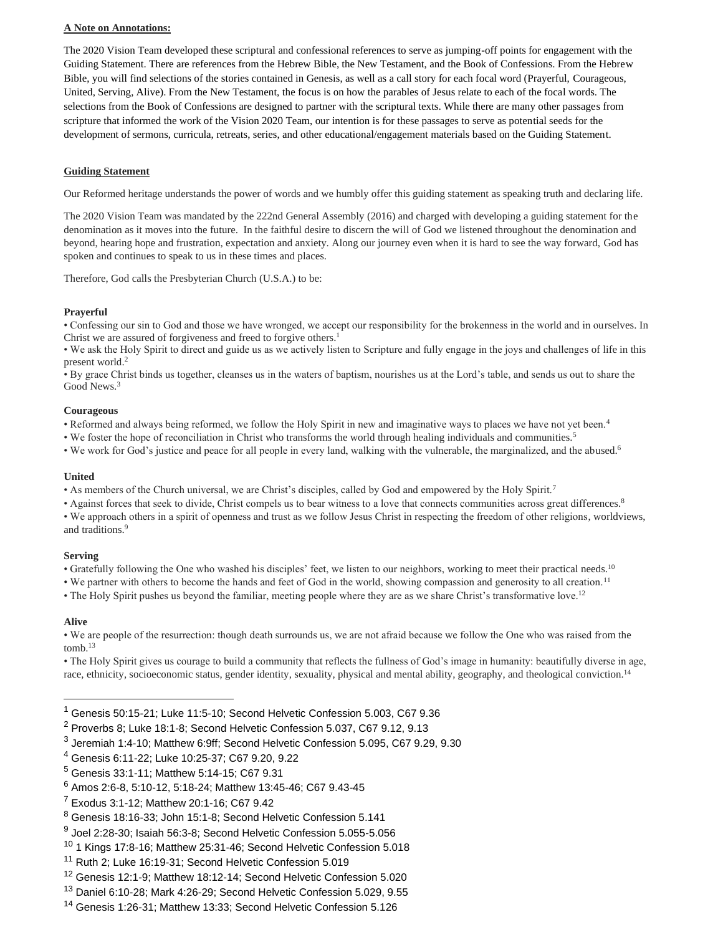# **A Note on Annotations:**

The 2020 Vision Team developed these scriptural and confessional references to serve as jumping-off points for engagement with the Guiding Statement. There are references from the Hebrew Bible, the New Testament, and the Book of Confessions. From the Hebrew Bible, you will find selections of the stories contained in Genesis, as well as a call story for each focal word (Prayerful, Courageous, United, Serving, Alive). From the New Testament, the focus is on how the parables of Jesus relate to each of the focal words. The selections from the Book of Confessions are designed to partner with the scriptural texts. While there are many other passages from scripture that informed the work of the Vision 2020 Team, our intention is for these passages to serve as potential seeds for the development of sermons, curricula, retreats, series, and other educational/engagement materials based on the Guiding Statement.

## **Guiding Statement**

Our Reformed heritage understands the power of words and we humbly offer this guiding statement as speaking truth and declaring life.

The 2020 Vision Team was mandated by the 222nd General Assembly (2016) and charged with developing a guiding statement for the denomination as it moves into the future. In the faithful desire to discern the will of God we listened throughout the denomination and beyond, hearing hope and frustration, expectation and anxiety. Along our journey even when it is hard to see the way forward, God has spoken and continues to speak to us in these times and places.

Therefore, God calls the Presbyterian Church (U.S.A.) to be:

### **Prayerful**

• Confessing our sin to God and those we have wronged, we accept our responsibility for the brokenness in the world and in ourselves. In Christ we are assured of forgiveness and freed to forgive others.<sup>1</sup>

• We ask the Holy Spirit to direct and guide us as we actively listen to Scripture and fully engage in the joys and challenges of life in this present world.<sup>2</sup>

• By grace Christ binds us together, cleanses us in the waters of baptism, nourishes us at the Lord's table, and sends us out to share the Good News.<sup>3</sup>

#### **Courageous**

• Reformed and always being reformed, we follow the Holy Spirit in new and imaginative ways to places we have not yet been.<sup>4</sup>

• We foster the hope of reconciliation in Christ who transforms the world through healing individuals and communities.<sup>5</sup>

• We work for God's justice and peace for all people in every land, walking with the vulnerable, the marginalized, and the abused.<sup>6</sup>

# **United**

• As members of the Church universal, we are Christ's disciples, called by God and empowered by the Holy Spirit.<sup>7</sup>

• Against forces that seek to divide, Christ compels us to bear witness to a love that connects communities across great differences.<sup>8</sup>

• We approach others in a spirit of openness and trust as we follow Jesus Christ in respecting the freedom of other religions, worldviews, and traditions.<sup>9</sup>

# **Serving**

• Gratefully following the One who washed his disciples' feet, we listen to our neighbors, working to meet their practical needs.<sup>10</sup>

• We partner with others to become the hands and feet of God in the world, showing compassion and generosity to all creation.<sup>11</sup>

• The Holy Spirit pushes us beyond the familiar, meeting people where they are as we share Christ's transformative love.<sup>12</sup>

# **Alive**

• We are people of the resurrection: though death surrounds us, we are not afraid because we follow the One who was raised from the tomb. $13$ 

• The Holy Spirit gives us courage to build a community that reflects the fullness of God's image in humanity: beautifully diverse in age, race, ethnicity, socioeconomic status, gender identity, sexuality, physical and mental ability, geography, and theological conviction.<sup>14</sup>

- <sup>1</sup> Genesis 50:15-21; Luke 11:5-10; Second Helvetic Confession 5.003, C67 9.36
- <sup>2</sup> Proverbs 8; Luke 18:1-8; Second Helvetic Confession 5.037, C67 9.12, 9.13
- $^3$  Jeremiah 1:4-10; Matthew 6:9ff; Second Helvetic Confession 5.095, C67 9.29, 9.30
- <sup>4</sup> Genesis 6:11-22; Luke 10:25-37; C67 9.20, 9.22
- <sup>5</sup> Genesis 33:1-11; Matthew 5:14-15; C67 9.31
- <sup>6</sup> Amos 2:6-8, 5:10-12, 5:18-24; Matthew 13:45-46; C67 9.43-45
- <sup>7</sup> Exodus 3:1-12; Matthew 20:1-16; C67 9.42

- <sup>10</sup> 1 Kings 17:8-16; Matthew 25:31-46; Second Helvetic Confession 5.018
- <sup>11</sup> Ruth 2; Luke 16:19-31; Second Helvetic Confession 5.019

<sup>13</sup> Daniel 6:10-28; Mark 4:26-29; Second Helvetic Confession 5.029, 9.55

<sup>8</sup> Genesis 18:16-33; John 15:1-8; Second Helvetic Confession 5.141

 $^9$  Joel 2:28-30; Isaiah 56:3-8; Second Helvetic Confession 5.055-5.056

<sup>12</sup> Genesis 12:1-9; Matthew 18:12-14; Second Helvetic Confession 5.020

<sup>14</sup> Genesis 1:26-31; Matthew 13:33; Second Helvetic Confession 5.126